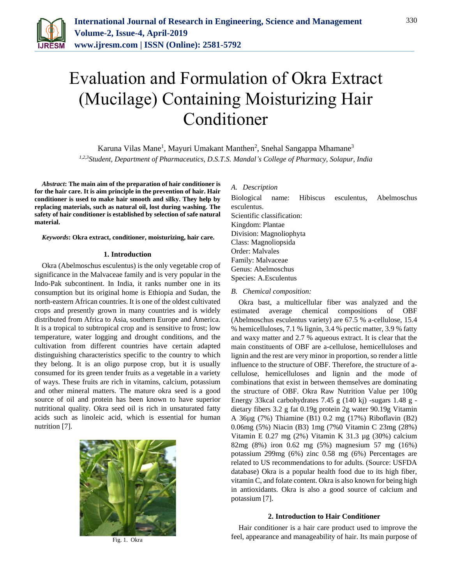

# Evaluation and Formulation of Okra Extract (Mucilage) Containing Moisturizing Hair Conditioner

Karuna Vilas Mane<sup>1</sup>, Mayuri Umakant Manthen<sup>2</sup>, Snehal Sangappa Mhamane<sup>3</sup> *1,2,3Student, Department of Pharmaceutics, D.S.T.S. Mandal's College of Pharmacy, Solapur, India*

*Abstract***: The main aim of the preparation of hair conditioner is for the hair care. It is aim principle in the prevention of hair. Hair conditioner is used to make hair smooth and silky. They help by replacing materials, such as natural oil, lost during washing. The safety of hair conditioner is established by selection of safe natural material.**

*Keywords***: Okra extract, conditioner, moisturizing, hair care.**

#### **1. Introduction**

Okra (Abelmoschus esculentus) is the only vegetable crop of significance in the Malvaceae family and is very popular in the Indo-Pak subcontinent. In India, it ranks number one in its consumption but its original home is Ethiopia and Sudan, the north-eastern African countries. It is one of the oldest cultivated crops and presently grown in many countries and is widely distributed from Africa to Asia, southern Europe and America. It is a tropical to subtropical crop and is sensitive to frost; low temperature, water logging and drought conditions, and the cultivation from different countries have certain adapted distinguishing characteristics specific to the country to which they belong. It is an oligo purpose crop, but it is usually consumed for its green tender fruits as a vegetable in a variety of ways. These fruits are rich in vitamins, calcium, potassium and other mineral matters. The mature okra seed is a good source of oil and protein has been known to have superior nutritional quality. Okra seed oil is rich in unsaturated fatty acids such as linoleic acid, which is essential for human nutrition [7].



Fig. 1. Okra

#### *A. Description*

Biological name: Hibiscus esculentus, Abelmoschus esculentus. Scientific classification: Kingdom: Plantae Division: Magnoliophyta Class: Magnoliopsida Order: Malvales Family: Malvaceae Genus: Abelmoschus Species: A.Esculentus

#### *B. Chemical composition:*

Okra bast, a multicellular fiber was analyzed and the estimated average chemical compositions of OBF (Abelmoschus esculentus variety) are 67.5 % a-cellulose, 15.4 % hemicelluloses, 7.1 % lignin, 3.4 % pectic matter, 3.9 % fatty and waxy matter and 2.7 % aqueous extract. It is clear that the main constituents of OBF are a-cellulose, hemicelluloses and lignin and the rest are very minor in proportion, so render a little influence to the structure of OBF. Therefore, the structure of acellulose, hemicelluloses and lignin and the mode of combinations that exist in between themselves are dominating the structure of OBF. Okra Raw Nutrition Value per 100g Energy 33kcal carbohydrates 7.45 g (140 kj) -sugars 1.48 g dietary fibers 3.2 g fat 0.19g protein 2g water 90.19g Vitamin A 36µg (7%) Thiamine (B1) 0.2 mg (17%) Riboflavin (B2) 0.06mg (5%) Niacin (B3) 1mg (7%0 Vitamin C 23mg (28%) Vitamin E 0.27 mg (2%) Vitamin K 31.3 µg (30%) calcium 82mg (8%) iron 0.62 mg (5%) magnesium 57 mg (16%) potassium 299mg (6%) zinc 0.58 mg (6%) Percentages are related to US recommendations to for adults. (Source: USFDA database) Okra is a popular health food due to its high fiber, vitamin C, and folate content. Okra is also known for being high in antioxidants. Okra is also a good source of calcium and potassium [7].

#### **2. Introduction to Hair Conditioner**

Hair conditioner is a hair care product used to improve the feel, appearance and manageability of hair. Its main purpose of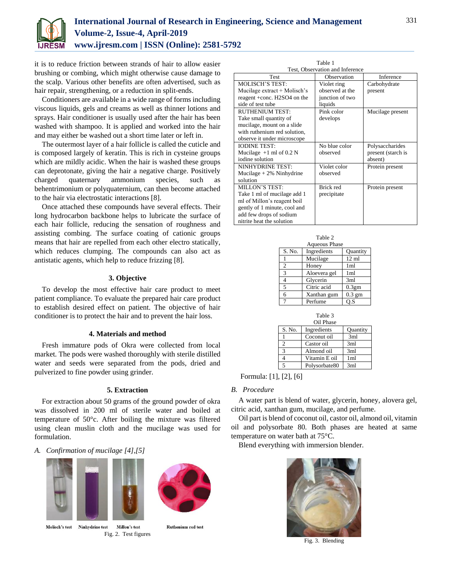

# **International Journal of Research in Engineering, Science and Management Volume-2, Issue-4, April-2019 www.ijresm.com | ISSN (Online): 2581-5792**

it is to reduce friction between strands of hair to allow easier brushing or combing, which might otherwise cause damage to the scalp. Various other benefits are often advertised, such as hair repair, strengthening, or a reduction in split-ends.

Conditioners are available in a wide range of forms including viscous liquids, gels and creams as well as thinner lotions and sprays. Hair conditioner is usually used after the hair has been washed with shampoo. It is applied and worked into the hair and may either be washed out a short time later or left in.

The outermost layer of a hair follicle is called the cuticle and is composed largely of keratin. This is rich in cysteine groups which are mildly acidic. When the hair is washed these groups can deprotonate, giving the hair a negative charge. Positively charged quaternary ammonium species, such as behentrimonium or polyquaternium, can then become attached to the hair via electrostatic interactions [8].

Once attached these compounds have several effects. Their long hydrocarbon backbone helps to lubricate the surface of each hair follicle, reducing the sensation of roughness and assisting combing. The surface coating of cationic groups means that hair are repelled from each other electro statically, which reduces clumping. The compounds can also act as antistatic agents, which help to reduce frizzing [8].

#### **3. Objective**

To develop the most effective hair care product to meet patient compliance. To evaluate the prepared hair care product to establish desired effect on patient. The objective of hair conditioner is to protect the hair and to prevent the hair loss.

#### **4. Materials and method**

Fresh immature pods of Okra were collected from local market. The pods were washed thoroughly with sterile distilled water and seeds were separated from the pods, dried and pulverized to fine powder using grinder.

### **5. Extraction**

For extraction about 50 grams of the ground powder of okra was dissolved in 200 ml of sterile water and boiled at temperature of 50°c. After boiling the mixture was filtered using clean muslin cloth and the mucilage was used for formulation.

# *A. Confirmation of mucilage [4],[5]*



Molisch's test Ninhydrine test Millon's test Fig. 2. Test figures



**Ruthenium red test** 

| Table 1                         |  |
|---------------------------------|--|
| Test. Observation and Inference |  |

| Test, Observation and Inference |                 |                    |  |  |  |
|---------------------------------|-----------------|--------------------|--|--|--|
| Test                            | Observation     | Inference          |  |  |  |
| <b>MOLISCH'S TEST:</b>          | Violet ring     | Carbohydrate       |  |  |  |
| Mucilage extract + Molisch's    | observed at the | present            |  |  |  |
| reagent +conc. H2SO4 on the     | junction of two |                    |  |  |  |
| side of test tube               | liquids         |                    |  |  |  |
| <b>RUTHENIUM TEST:</b>          | Pink color      | Mucilage present   |  |  |  |
| Take small quantity of          | develops        |                    |  |  |  |
| mucilage, mount on a slide      |                 |                    |  |  |  |
| with ruthenium red solution,    |                 |                    |  |  |  |
| observe it under microscope     |                 |                    |  |  |  |
| <b>IODINE TEST:</b>             | No blue color   | Polysaccharides    |  |  |  |
| Mucilage $+1$ ml of 0.2 N       | observed        | present (starch is |  |  |  |
| iodine solution                 |                 | absent)            |  |  |  |
| NINHYDRINE TEST:                | Violet color    | Protein present    |  |  |  |
| Mucilage $+2\%$ Ninhydrine      | observed        |                    |  |  |  |
| solution                        |                 |                    |  |  |  |
| MILLON'S TEST:                  | Brick red       | Protein present    |  |  |  |
| Take 1 ml of mucilage add 1     | precipitate     |                    |  |  |  |
| ml of Millon's reagent boil     |                 |                    |  |  |  |
| gently of 1 minute, cool and    |                 |                    |  |  |  |
| add few drops of sodium         |                 |                    |  |  |  |
| nitrite heat the solution       |                 |                    |  |  |  |

| Table 2              |              |                   |  |  |  |  |
|----------------------|--------------|-------------------|--|--|--|--|
| <b>Aqueous Phase</b> |              |                   |  |  |  |  |
| S. No.               | Ingredients  | <b>Quantity</b>   |  |  |  |  |
|                      | Mucilage     | $12 \text{ ml}$   |  |  |  |  |
| $\overline{2}$       | Honey        | 1 <sub>m</sub>    |  |  |  |  |
| 3                    | Aloevera gel | 1 <sub>m1</sub>   |  |  |  |  |
| 4                    | Glycerin     | 3ml               |  |  |  |  |
| 5                    | Citric acid  | 0.3 <sub>gm</sub> |  |  |  |  |
| 6                    | Xanthan gum  | $0.3$ gm          |  |  |  |  |
|                      | Perfume      | O.S               |  |  |  |  |

| Table 3       |               |                 |  |  |
|---------------|---------------|-----------------|--|--|
| Oil Phase     |               |                 |  |  |
| S. No.        | Ingredients   | Quantity        |  |  |
|               | Coconut oil   | 3ml             |  |  |
| 2             | Castor oil    | 3ml             |  |  |
| $\mathcal{R}$ | Almond oil    | 3ml             |  |  |
|               | Vitamin E oil | 1 <sub>ml</sub> |  |  |
|               | Polysorbate80 | 3ml             |  |  |

Formula: [1], [2], [6]

# *B. Procedure*

A water part is blend of water, glycerin, honey, alovera gel, citric acid, xanthan gum, mucilage, and perfume.

Oil part is blend of coconut oil, castor oil, almond oil, vitamin oil and polysorbate 80. Both phases are heated at same temperature on water bath at 75°C.

Blend everything with immersion blender.



Fig. 3. Blending